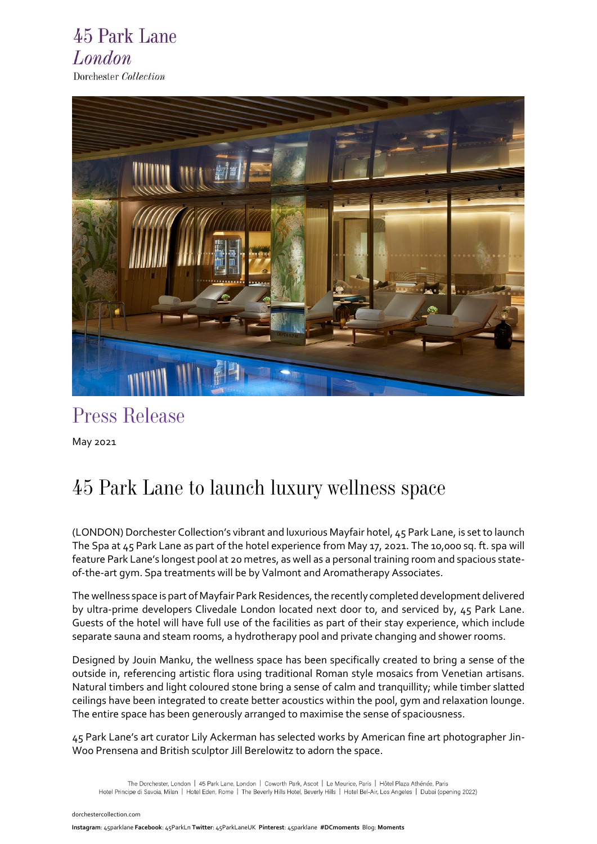### 45 Park Lane London Dorchester Collection



## *Press Release*

May 2021

# *45 Park Lane to launch luxury wellness space*

(LONDON) Dorchester Collection's vibrant and luxurious Mayfair hotel, 45 Park Lane, is set to launch The Spa at 45 Park Lane as part of the hotel experience from May 17, 2021. The 10,000 sq. ft. spa will feature Park Lane's longest pool at 20 metres, as well as a personal training room and spacious stateof-the-art gym. Spa treatments will be by Valmont and Aromatherapy Associates.

The wellness space is part of Mayfair Park Residences, the recently completed development delivered by ultra-prime developers Clivedale London located next door to, and serviced by, 45 Park Lane. Guests of the hotel will have full use of the facilities as part of their stay experience, which include separate sauna and steam rooms, a hydrotherapy pool and private changing and shower rooms.

Designed by Jouin Manku, the wellness space has been specifically created to bring a sense of the outside in, referencing artistic flora using traditional Roman style mosaics from Venetian artisans. Natural timbers and light coloured stone bring a sense of calm and tranquillity; while timber slatted ceilings have been integrated to create better acoustics within the pool, gym and relaxation lounge. The entire space has been generously arranged to maximise the sense of spaciousness.

45 Park Lane's art curator Lily Ackerman has selected works by American fine art photographer Jin-Woo Prensena and British sculptor Jill Berelowitz to adorn the space.

[d](http://www.dorchestercollection.com/)[orchestercollection.com](https://www.instagram.com/45parklane/)

The Dorchester, London | 45 Park Lane, London | Coworth Park, Ascot | Le Meurice, Paris | Hôtel Plaza Athénée, Paris Hotel Principe di Savoia, Milan | Hotel Eden, Rome | The Beverly Hills Hotel, Beverly Hills | Hotel Bel-Air, Los Angeles | Dubai (opening 2022)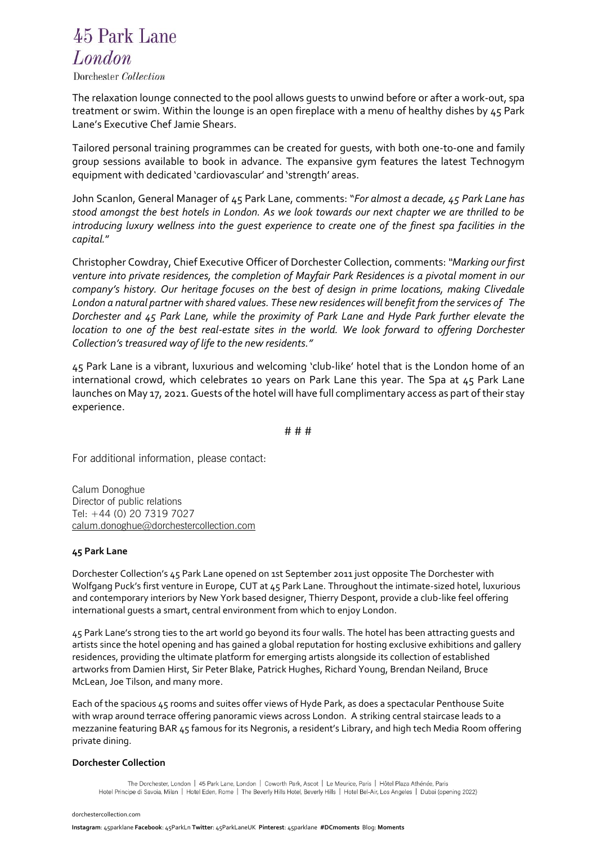## 45 Park Lane London

#### Dorchester Collection

The relaxation lounge connected to the pool allows guests to unwind before or after a work-out, spa treatment or swim. Within the lounge is an open fireplace with a menu of healthy dishes by 45 Park Lane's Executive Chef Jamie Shears.

Tailored personal training programmes can be created for guests, with both one-to-one and family group sessions available to book in advance. The expansive gym features the latest Technogym equipment with dedicated 'cardiovascular' and 'strength' areas.

John Scanlon, General Manager of 45 Park Lane, comments: "*For almost a decade, 45 Park Lane has stood amongst the best hotels in London. As we look towards our next chapter we are thrilled to be introducing luxury wellness into the guest experience to create one of the finest spa facilities in the capital.*"

Christopher Cowdray, Chief Executive Officer of Dorchester Collection, comments: *"Marking our first venture into private residences, the completion of Mayfair Park Residences is a pivotal moment in our company's history. Our heritage focuses on the best of design in prime locations, making Clivedale London a natural partner with shared values. These new residences will benefit from the services of The Dorchester and 45 Park Lane, while the proximity of Park Lane and Hyde Park further elevate the location to one of the best real-estate sites in the world. We look forward to offering Dorchester Collection's treasured way of life to the new residents."*

45 Park Lane is a vibrant, luxurious and welcoming 'club-like' hotel that is the London home of an international crowd, which celebrates 10 years on Park Lane this year. The Spa at 45 Park Lane launches on May 17, 2021. Guests of the hotel will have full complimentary access as part of their stay experience.

# # #

For additional information, please contact:

Calum Donoghue Director of public relations Tel: +44 (0) 20 7319 7027 [calum.donoghue@dorchestercollection.com](mailto:calum.donoghue@dorchestercollection.com)

#### **45 Park Lane**

Dorchester Collection's 45 Park Lane opened on 1st September 2011 just opposite The Dorchester with Wolfgang Puck's first venture in Europe, CUT at 45 Park Lane. Throughout the intimate-sized hotel, luxurious and contemporary interiors by New York based designer, Thierry Despont, provide a club-like feel offering international guests a smart, central environment from which to enjoy London.

45 Park Lane's strong ties to the art world go beyond its four walls. The hotel has been attracting guests and artists since the hotel opening and has gained a global reputation for hosting exclusive exhibitions and gallery residences, providing the ultimate platform for emerging artists alongside its collection of established artworks from Damien Hirst, Sir Peter Blake, Patrick Hughes, Richard Young, Brendan Neiland, Bruce McLean, Joe Tilson, and many more.

Each of the spacious 45 rooms and suites offer views of Hyde Park, as does a spectacular Penthouse Suite with wrap around terrace offering panoramic views across London. A striking central staircase leads to a mezzanine featuring BAR 45 famous for its Negronis, a resident's Library, and high tech Media Room offering private dining.

#### **Dorchester Collection**

The Dorchester, London | 45 Park Lane, London | Coworth Park, Ascot | Le Meurice, Paris | Hôtel Plaza Athénée, Paris Hotel Principe di Savoia, Milan | Hotel Eden, Rome | The Beverly Hills Hotel, Beverly Hills | Hotel Bel-Air, Los Angeles | Dubai (opening 2022)